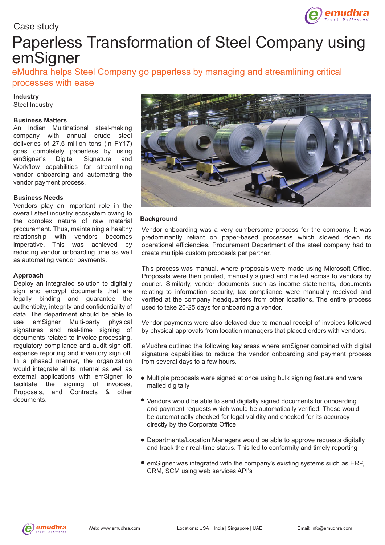

# Paperless Transformation of Steel Company using emSigner

eMudhra helps Steel Company go paperless by managing and streamlining critical processes with ease

#### **Industry**

Steel Industry

#### **Business Matters**

An Indian Multinational steel-making company with annual crude steel deliveries of 27.5 million tons (in FY17) goes completely paperless by using<br>emSigner's Digital Signature and emSigner's Digital Signature Workflow capabilities for streamlining vendor onboarding and automating the vendor payment process.

#### **Business Needs**

Vendors play an important role in the overall steel industry ecosystem owing to the complex nature of raw material procurement. Thus, maintaining a healthy relationship with vendors becomes imperative. This was achieved by reducing vendor onboarding time as well as automating vendor payments.

#### **Approach**

Deploy an integrated solution to digitally sign and encrypt documents that are legally binding and guarantee the authenticity, integrity and confidentiality of data. The department should be able to use emSigner Multi-party physical signatures and real-time signing of documents related to invoice processing, regulatory compliance and audit sign off, expense reporting and inventory sign off. In a phased manner, the organization would integrate all its internal as well as external applications with emSigner to facilitate the signing of invoices, Proposals, and Contracts & other documents.



## **Background**

Vendor onboarding was a very cumbersome process for the company. It was predominantly reliant on paper-based processes which slowed down its operational efficiencies. Procurement Department of the steel company had to create multiple custom proposals per partner.

This process was manual, where proposals were made using Microsoft Office. Proposals were then printed, manually signed and mailed across to vendors by courier. Similarly, vendor documents such as income statements, documents relating to information security, tax compliance were manually received and verified at the company headquarters from other locations. The entire process used to take 20-25 days for onboarding a vendor.

Vendor payments were also delayed due to manual receipt of invoices followed by physical approvals from location managers that placed orders with vendors.

eMudhra outlined the following key areas where emSigner combined with digital signature capabilities to reduce the vendor onboarding and payment process from several days to a few hours.

- Multiple proposals were signed at once using bulk signing feature and were mailed digitally
- Vendors would be able to send digitally signed documents for onboarding and payment requests which would be automatically verified. These would be automatically checked for legal validity and checked for its accuracy directly by the Corporate Office
- Departments/Location Managers would be able to approve requests digitally and track their real-time status. This led to conformity and timely reporting
- emSigner was integrated with the company's existing systems such as ERP, CRM, SCM using web services API's

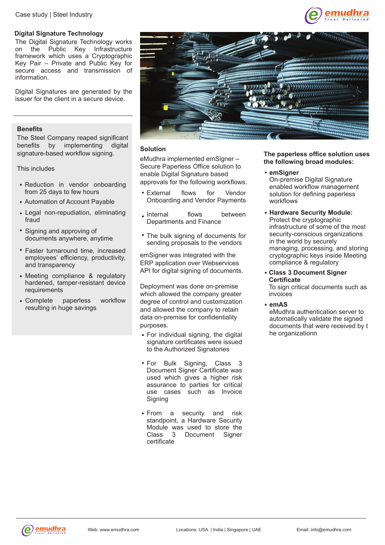Case study | Steel Industry

#### **Digital Signature Technology**

The Digital Signature Technology works on the Public Key Infrastructure framework which uses a Cryptographic Key Pair – Private and Public Key for secure access and transmission of information.

Digital Signatures are generated by the issuer for the client in a secure device.

## **Benefits**

The Steel Company reaped significant benefits by implementing digital signature-based workflow signing.

This includes

- Reduction in vendor onboarding from 25 days to few hours
- Automation of Account Payable
- Legal non-repudiation, eliminating fraud
- Signing and approving of documents anywhere, anytime
- Faster turnaround time, increased employees' efficiency, productivity, and transparency
- Meeting compliance & regulatory hardened, tamper-resistant device requirements
- Complete paperless workflow resulting in huge savings



## **Solution**

eMudhra implemented emSigner – Secure Paperless Office solution to enable Digital Signature based approvals for the following workflows.

- External flows for Vendor Onboarding and Vendor Payments
- hetween flows between Departments and Finance
- The bulk signing of documents for sending proposals to the vendors

emSigner was integrated with the ERP application over Webservices API for digital signing of documents.

Deployment was done on-premise which allowed the company greater degree of control and customization and allowed the company to retain data on-premise for confidentiality purposes.

- For individual signing, the digital signature certificates were issued to the Authorized Signatories
- For Bulk Signing, Class Document Signer Certificate was used which gives a higher risk assurance to parties for critical use cases such as Invoice Signing
- From a security and risk standpoint, a Hardware Security Module was used to store the<br>Class 3 Document Signer Document Signer certificate

#### **The paperless office solution uses the following broad modules:**

nudh

#### **emSigner**

On-premise Digital Signature enabled workflow management solution for defining paperless workflows

- **Hardware Security Module:** Protect the cryptographic infrastructure of some of the most security-conscious organizations in the world by securely managing, processing, and storing cryptographic keys inside Meeting compliance & regulatory
- **Class 3 Document Signer Certificate**

To sign critical documents such as invoices

#### **emAS**

eMudhra authentication server to automatically validate the signed documents that were received by t he organizationn